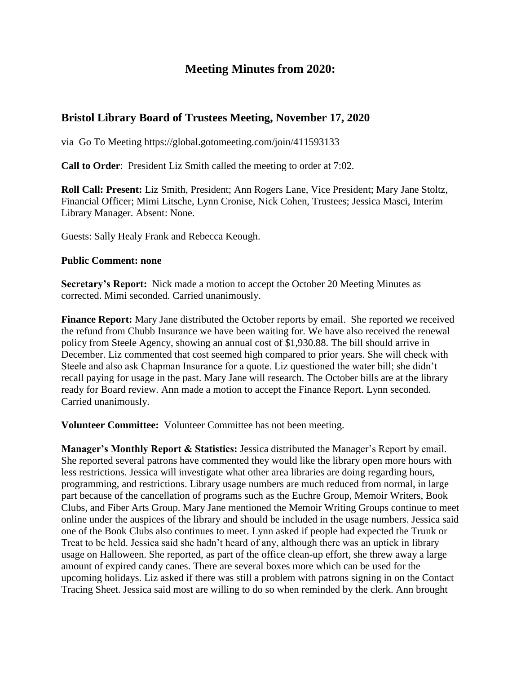## **Meeting Minutes from 2020:**

## **Bristol Library Board of Trustees Meeting, November 17, 2020**

via Go To Meeting https://global.gotomeeting.com/join/411593133

**Call to Order**: President Liz Smith called the meeting to order at 7:02.

**Roll Call: Present:** Liz Smith, President; Ann Rogers Lane, Vice President; Mary Jane Stoltz, Financial Officer; Mimi Litsche, Lynn Cronise, Nick Cohen, Trustees; Jessica Masci, Interim Library Manager. Absent: None.

Guests: Sally Healy Frank and Rebecca Keough.

#### **Public Comment: none**

**Secretary's Report:** Nick made a motion to accept the October 20 Meeting Minutes as corrected. Mimi seconded. Carried unanimously.

**Finance Report:** Mary Jane distributed the October reports by email. She reported we received the refund from Chubb Insurance we have been waiting for. We have also received the renewal policy from Steele Agency, showing an annual cost of \$1,930.88. The bill should arrive in December. Liz commented that cost seemed high compared to prior years. She will check with Steele and also ask Chapman Insurance for a quote. Liz questioned the water bill; she didn't recall paying for usage in the past. Mary Jane will research. The October bills are at the library ready for Board review. Ann made a motion to accept the Finance Report. Lynn seconded. Carried unanimously.

**Volunteer Committee:** Volunteer Committee has not been meeting.

**Manager's Monthly Report & Statistics:** Jessica distributed the Manager's Report by email. She reported several patrons have commented they would like the library open more hours with less restrictions. Jessica will investigate what other area libraries are doing regarding hours, programming, and restrictions. Library usage numbers are much reduced from normal, in large part because of the cancellation of programs such as the Euchre Group, Memoir Writers, Book Clubs, and Fiber Arts Group. Mary Jane mentioned the Memoir Writing Groups continue to meet online under the auspices of the library and should be included in the usage numbers. Jessica said one of the Book Clubs also continues to meet. Lynn asked if people had expected the Trunk or Treat to be held. Jessica said she hadn't heard of any, although there was an uptick in library usage on Halloween. She reported, as part of the office clean-up effort, she threw away a large amount of expired candy canes. There are several boxes more which can be used for the upcoming holidays. Liz asked if there was still a problem with patrons signing in on the Contact Tracing Sheet. Jessica said most are willing to do so when reminded by the clerk. Ann brought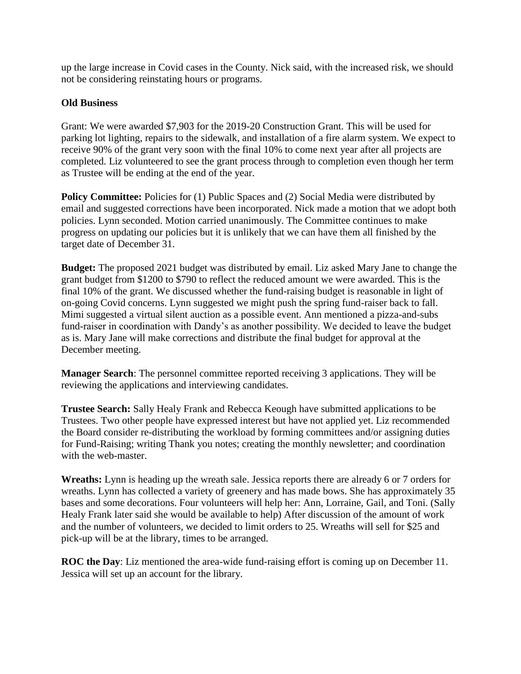up the large increase in Covid cases in the County. Nick said, with the increased risk, we should not be considering reinstating hours or programs.

## **Old Business**

Grant: We were awarded \$7,903 for the 2019-20 Construction Grant. This will be used for parking lot lighting, repairs to the sidewalk, and installation of a fire alarm system. We expect to receive 90% of the grant very soon with the final 10% to come next year after all projects are completed. Liz volunteered to see the grant process through to completion even though her term as Trustee will be ending at the end of the year.

**Policy Committee:** Policies for (1) Public Spaces and (2) Social Media were distributed by email and suggested corrections have been incorporated. Nick made a motion that we adopt both policies. Lynn seconded. Motion carried unanimously. The Committee continues to make progress on updating our policies but it is unlikely that we can have them all finished by the target date of December 31.

**Budget:** The proposed 2021 budget was distributed by email. Liz asked Mary Jane to change the grant budget from \$1200 to \$790 to reflect the reduced amount we were awarded. This is the final 10% of the grant. We discussed whether the fund-raising budget is reasonable in light of on-going Covid concerns. Lynn suggested we might push the spring fund-raiser back to fall. Mimi suggested a virtual silent auction as a possible event. Ann mentioned a pizza-and-subs fund-raiser in coordination with Dandy's as another possibility. We decided to leave the budget as is. Mary Jane will make corrections and distribute the final budget for approval at the December meeting.

**Manager Search**: The personnel committee reported receiving 3 applications. They will be reviewing the applications and interviewing candidates.

**Trustee Search:** Sally Healy Frank and Rebecca Keough have submitted applications to be Trustees. Two other people have expressed interest but have not applied yet. Liz recommended the Board consider re-distributing the workload by forming committees and/or assigning duties for Fund-Raising; writing Thank you notes; creating the monthly newsletter; and coordination with the web-master.

**Wreaths:** Lynn is heading up the wreath sale. Jessica reports there are already 6 or 7 orders for wreaths. Lynn has collected a variety of greenery and has made bows. She has approximately 35 bases and some decorations. Four volunteers will help her: Ann, Lorraine, Gail, and Toni. (Sally Healy Frank later said she would be available to help) After discussion of the amount of work and the number of volunteers, we decided to limit orders to 25. Wreaths will sell for \$25 and pick-up will be at the library, times to be arranged.

**ROC the Day**: Liz mentioned the area-wide fund-raising effort is coming up on December 11. Jessica will set up an account for the library.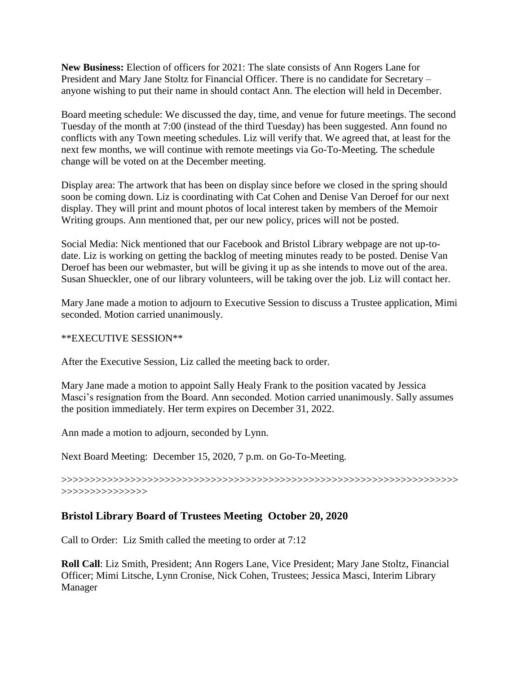**New Business:** Election of officers for 2021: The slate consists of Ann Rogers Lane for President and Mary Jane Stoltz for Financial Officer. There is no candidate for Secretary – anyone wishing to put their name in should contact Ann. The election will held in December.

Board meeting schedule: We discussed the day, time, and venue for future meetings. The second Tuesday of the month at 7:00 (instead of the third Tuesday) has been suggested. Ann found no conflicts with any Town meeting schedules. Liz will verify that. We agreed that, at least for the next few months, we will continue with remote meetings via Go-To-Meeting. The schedule change will be voted on at the December meeting.

Display area: The artwork that has been on display since before we closed in the spring should soon be coming down. Liz is coordinating with Cat Cohen and Denise Van Deroef for our next display. They will print and mount photos of local interest taken by members of the Memoir Writing groups. Ann mentioned that, per our new policy, prices will not be posted.

Social Media: Nick mentioned that our Facebook and Bristol Library webpage are not up-todate. Liz is working on getting the backlog of meeting minutes ready to be posted. Denise Van Deroef has been our webmaster, but will be giving it up as she intends to move out of the area. Susan Shueckler, one of our library volunteers, will be taking over the job. Liz will contact her.

Mary Jane made a motion to adjourn to Executive Session to discuss a Trustee application, Mimi seconded. Motion carried unanimously.

#### \*\*EXECUTIVE SESSION\*\*

After the Executive Session, Liz called the meeting back to order.

Mary Jane made a motion to appoint Sally Healy Frank to the position vacated by Jessica Masci's resignation from the Board. Ann seconded. Motion carried unanimously. Sally assumes the position immediately. Her term expires on December 31, 2022.

Ann made a motion to adjourn, seconded by Lynn.

Next Board Meeting: December 15, 2020, 7 p.m. on Go-To-Meeting.

>>>>>>>>>>>>>>>>>>>>>>>>>>>>>>>>>>>>>>>>>>>>>>>>>>>>>>>>>>>>>>>>>>>>> >>>>>>>>>>>>>>>

## **Bristol Library Board of Trustees Meeting October 20, 2020**

Call to Order: Liz Smith called the meeting to order at 7:12

**Roll Call**: Liz Smith, President; Ann Rogers Lane, Vice President; Mary Jane Stoltz, Financial Officer; Mimi Litsche, Lynn Cronise, Nick Cohen, Trustees; Jessica Masci, Interim Library Manager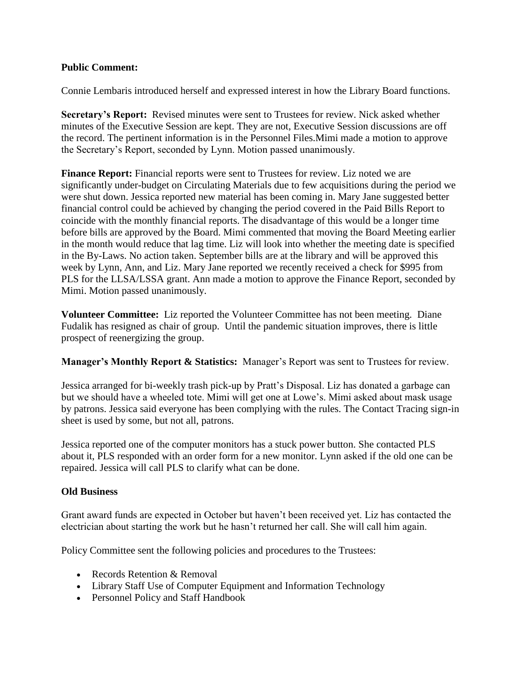## **Public Comment:**

Connie Lembaris introduced herself and expressed interest in how the Library Board functions.

**Secretary's Report:** Revised minutes were sent to Trustees for review. Nick asked whether minutes of the Executive Session are kept. They are not, Executive Session discussions are off the record. The pertinent information is in the Personnel Files.Mimi made a motion to approve the Secretary's Report, seconded by Lynn. Motion passed unanimously.

**Finance Report:** Financial reports were sent to Trustees for review. Liz noted we are significantly under-budget on Circulating Materials due to few acquisitions during the period we were shut down. Jessica reported new material has been coming in. Mary Jane suggested better financial control could be achieved by changing the period covered in the Paid Bills Report to coincide with the monthly financial reports. The disadvantage of this would be a longer time before bills are approved by the Board. Mimi commented that moving the Board Meeting earlier in the month would reduce that lag time. Liz will look into whether the meeting date is specified in the By-Laws. No action taken. September bills are at the library and will be approved this week by Lynn, Ann, and Liz. Mary Jane reported we recently received a check for \$995 from PLS for the LLSA/LSSA grant. Ann made a motion to approve the Finance Report, seconded by Mimi. Motion passed unanimously.

**Volunteer Committee:** Liz reported the Volunteer Committee has not been meeting. Diane Fudalik has resigned as chair of group. Until the pandemic situation improves, there is little prospect of reenergizing the group.

**Manager's Monthly Report & Statistics:** Manager's Report was sent to Trustees for review.

Jessica arranged for bi-weekly trash pick-up by Pratt's Disposal. Liz has donated a garbage can but we should have a wheeled tote. Mimi will get one at Lowe's. Mimi asked about mask usage by patrons. Jessica said everyone has been complying with the rules. The Contact Tracing sign-in sheet is used by some, but not all, patrons.

Jessica reported one of the computer monitors has a stuck power button. She contacted PLS about it, PLS responded with an order form for a new monitor. Lynn asked if the old one can be repaired. Jessica will call PLS to clarify what can be done.

## **Old Business**

Grant award funds are expected in October but haven't been received yet. Liz has contacted the electrician about starting the work but he hasn't returned her call. She will call him again.

Policy Committee sent the following policies and procedures to the Trustees:

- Records Retention & Removal
- Library Staff Use of Computer Equipment and Information Technology
- Personnel Policy and Staff Handbook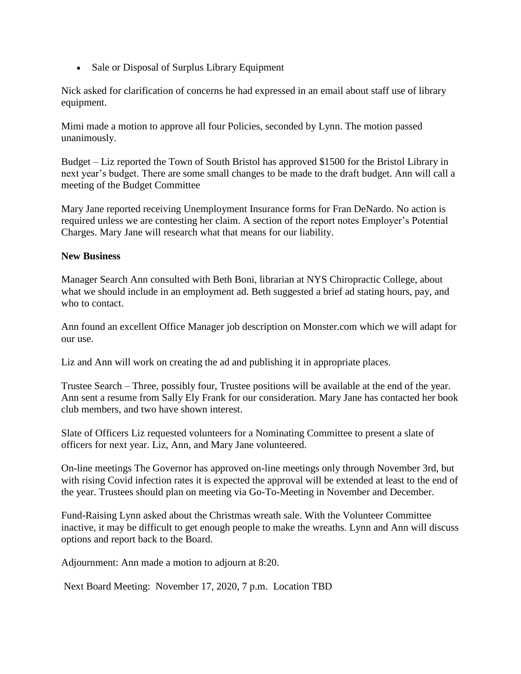• Sale or Disposal of Surplus Library Equipment

Nick asked for clarification of concerns he had expressed in an email about staff use of library equipment.

Mimi made a motion to approve all four Policies, seconded by Lynn. The motion passed unanimously.

Budget – Liz reported the Town of South Bristol has approved \$1500 for the Bristol Library in next year's budget. There are some small changes to be made to the draft budget. Ann will call a meeting of the Budget Committee

Mary Jane reported receiving Unemployment Insurance forms for Fran DeNardo. No action is required unless we are contesting her claim. A section of the report notes Employer's Potential Charges. Mary Jane will research what that means for our liability.

## **New Business**

Manager Search Ann consulted with Beth Boni, librarian at NYS Chiropractic College, about what we should include in an employment ad. Beth suggested a brief ad stating hours, pay, and who to contact.

Ann found an excellent Office Manager job description on Monster.com which we will adapt for our use.

Liz and Ann will work on creating the ad and publishing it in appropriate places.

Trustee Search – Three, possibly four, Trustee positions will be available at the end of the year. Ann sent a resume from Sally Ely Frank for our consideration. Mary Jane has contacted her book club members, and two have shown interest.

Slate of Officers Liz requested volunteers for a Nominating Committee to present a slate of officers for next year. Liz, Ann, and Mary Jane volunteered.

On-line meetings The Governor has approved on-line meetings only through November 3rd, but with rising Covid infection rates it is expected the approval will be extended at least to the end of the year. Trustees should plan on meeting via Go-To-Meeting in November and December.

Fund-Raising Lynn asked about the Christmas wreath sale. With the Volunteer Committee inactive, it may be difficult to get enough people to make the wreaths. Lynn and Ann will discuss options and report back to the Board.

Adjournment: Ann made a motion to adjourn at 8:20.

Next Board Meeting: November 17, 2020, 7 p.m. Location TBD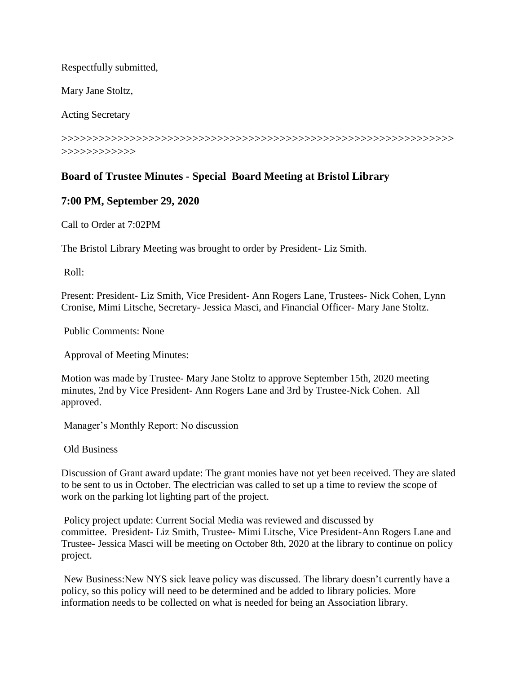Respectfully submitted,

Mary Jane Stoltz,

Acting Secretary

>>>>>>>>>>>>>>>>>>>>>>>>>>>>>>>>>>>>>>>>>>>>>>>>>>>>>>>>>>>>>>> >>>>>>>>>>>>

## **Board of Trustee Minutes - Special Board Meeting at Bristol Library**

## **7:00 PM, September 29, 2020**

Call to Order at 7:02PM

The Bristol Library Meeting was brought to order by President- Liz Smith.

Roll:

Present: President- Liz Smith, Vice President- Ann Rogers Lane, Trustees- Nick Cohen, Lynn Cronise, Mimi Litsche, Secretary- Jessica Masci, and Financial Officer- Mary Jane Stoltz.

Public Comments: None

Approval of Meeting Minutes:

Motion was made by Trustee- Mary Jane Stoltz to approve September 15th, 2020 meeting minutes, 2nd by Vice President- Ann Rogers Lane and 3rd by Trustee-Nick Cohen. All approved.

Manager's Monthly Report: No discussion

Old Business

Discussion of Grant award update: The grant monies have not yet been received. They are slated to be sent to us in October. The electrician was called to set up a time to review the scope of work on the parking lot lighting part of the project.

Policy project update: Current Social Media was reviewed and discussed by committee. President- Liz Smith, Trustee- Mimi Litsche, Vice President-Ann Rogers Lane and Trustee- Jessica Masci will be meeting on October 8th, 2020 at the library to continue on policy project.

New Business:New NYS sick leave policy was discussed. The library doesn't currently have a policy, so this policy will need to be determined and be added to library policies. More information needs to be collected on what is needed for being an Association library.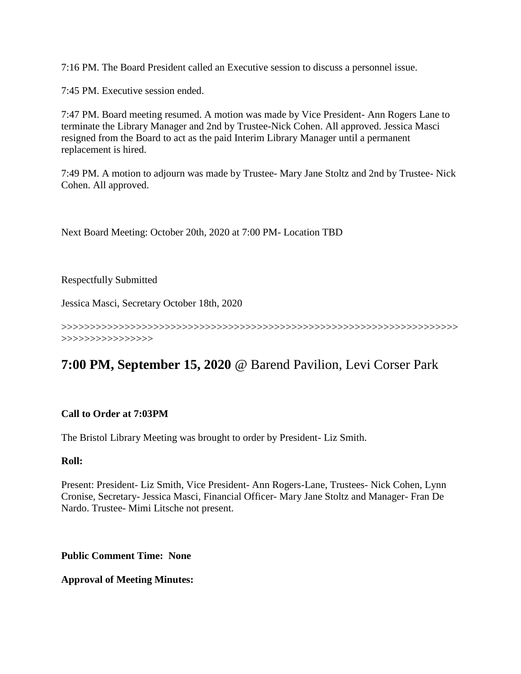7:16 PM. The Board President called an Executive session to discuss a personnel issue.

7:45 PM. Executive session ended.

7:47 PM. Board meeting resumed. A motion was made by Vice President- Ann Rogers Lane to terminate the Library Manager and 2nd by Trustee-Nick Cohen. All approved. Jessica Masci resigned from the Board to act as the paid Interim Library Manager until a permanent replacement is hired.

7:49 PM. A motion to adjourn was made by Trustee- Mary Jane Stoltz and 2nd by Trustee- Nick Cohen. All approved.

Next Board Meeting: October 20th, 2020 at 7:00 PM- Location TBD

Respectfully Submitted

Jessica Masci, Secretary October 18th, 2020

>>>>>>>>>>>>>>>>>>>>>>>>>>>>>>>>>>>>>>>>>>>>>>>>>>>>>>>>>>>>>>>>>>>>> >>>>>>>>>>>>>>>>

# **7:00 PM, September 15, 2020** @ Barend Pavilion, Levi Corser Park

## **Call to Order at 7:03PM**

The Bristol Library Meeting was brought to order by President- Liz Smith.

#### **Roll:**

Present: President- Liz Smith, Vice President- Ann Rogers-Lane, Trustees- Nick Cohen, Lynn Cronise, Secretary- Jessica Masci, Financial Officer- Mary Jane Stoltz and Manager- Fran De Nardo. Trustee- Mimi Litsche not present.

**Public Comment Time: None**

**Approval of Meeting Minutes:**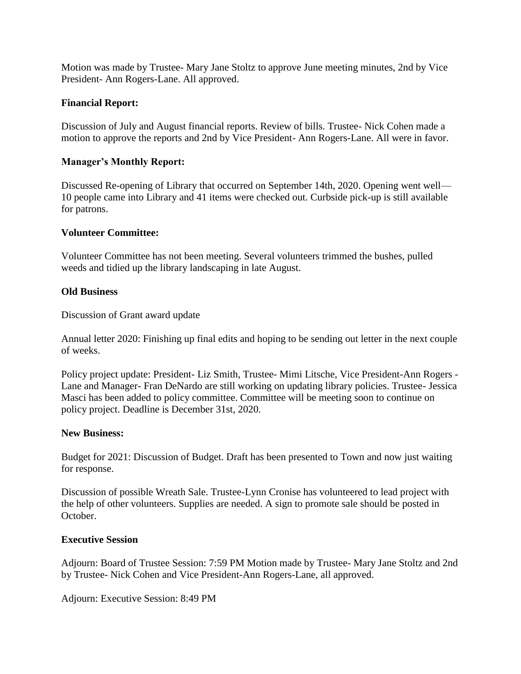Motion was made by Trustee- Mary Jane Stoltz to approve June meeting minutes, 2nd by Vice President- Ann Rogers-Lane. All approved.

## **Financial Report:**

Discussion of July and August financial reports. Review of bills. Trustee- Nick Cohen made a motion to approve the reports and 2nd by Vice President- Ann Rogers-Lane. All were in favor.

#### **Manager's Monthly Report:**

Discussed Re-opening of Library that occurred on September 14th, 2020. Opening went well— 10 people came into Library and 41 items were checked out. Curbside pick-up is still available for patrons.

#### **Volunteer Committee:**

Volunteer Committee has not been meeting. Several volunteers trimmed the bushes, pulled weeds and tidied up the library landscaping in late August.

#### **Old Business**

Discussion of Grant award update

Annual letter 2020: Finishing up final edits and hoping to be sending out letter in the next couple of weeks.

Policy project update: President- Liz Smith, Trustee- Mimi Litsche, Vice President-Ann Rogers - Lane and Manager- Fran DeNardo are still working on updating library policies. Trustee- Jessica Masci has been added to policy committee. Committee will be meeting soon to continue on policy project. Deadline is December 31st, 2020.

#### **New Business:**

Budget for 2021: Discussion of Budget. Draft has been presented to Town and now just waiting for response.

Discussion of possible Wreath Sale. Trustee-Lynn Cronise has volunteered to lead project with the help of other volunteers. Supplies are needed. A sign to promote sale should be posted in October.

#### **Executive Session**

Adjourn: Board of Trustee Session: 7:59 PM Motion made by Trustee- Mary Jane Stoltz and 2nd by Trustee- Nick Cohen and Vice President-Ann Rogers-Lane, all approved.

Adjourn: Executive Session: 8:49 PM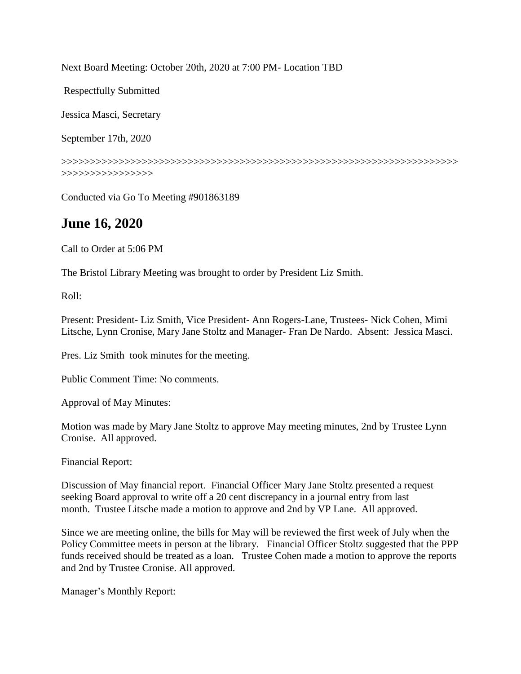Next Board Meeting: October 20th, 2020 at 7:00 PM- Location TBD

Respectfully Submitted

Jessica Masci, Secretary

September 17th, 2020

>>>>>>>>>>>>>>>>>>>>>>>>>>>>>>>>>>>>>>>>>>>>>>>>>>>>>>>>>>>>>>>>>>>>> >>>>>>>>>>>>>>>>

Conducted via Go To Meeting #901863189

## **June 16, 2020**

Call to Order at 5:06 PM

The Bristol Library Meeting was brought to order by President Liz Smith.

Roll:

Present: President- Liz Smith, Vice President- Ann Rogers-Lane, Trustees- Nick Cohen, Mimi Litsche, Lynn Cronise, Mary Jane Stoltz and Manager- Fran De Nardo. Absent: Jessica Masci.

Pres. Liz Smith took minutes for the meeting.

Public Comment Time: No comments.

Approval of May Minutes:

Motion was made by Mary Jane Stoltz to approve May meeting minutes, 2nd by Trustee Lynn Cronise. All approved.

Financial Report:

Discussion of May financial report. Financial Officer Mary Jane Stoltz presented a request seeking Board approval to write off a 20 cent discrepancy in a journal entry from last month. Trustee Litsche made a motion to approve and 2nd by VP Lane. All approved.

Since we are meeting online, the bills for May will be reviewed the first week of July when the Policy Committee meets in person at the library. Financial Officer Stoltz suggested that the PPP funds received should be treated as a loan. Trustee Cohen made a motion to approve the reports and 2nd by Trustee Cronise. All approved.

Manager's Monthly Report: